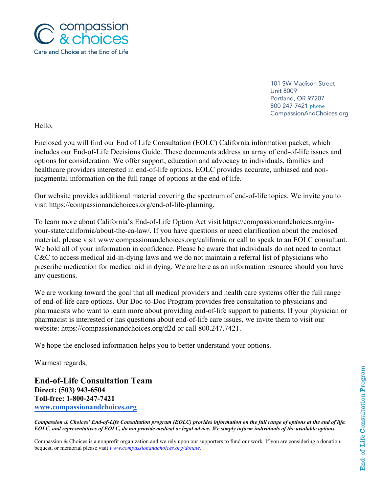

101 SW Madison Street **Unit 8009** Portland, OR 97207 800 247 7421 phone CompassionAndChoices.org

Hello,

Enclosed you will find our End of Life Consultation (EOLC) California information packet, which includes our End-of-Life Decisions Guide. These documents address an array of end-of-life issues and options for consideration. We offer support, education and advocacy to individuals, families and healthcare providers interested in end-of-life options. EOLC provides accurate, unbiased and nonjudgmental information on the full range of options at the end of life.

Our website provides additional material covering the spectrum of end-of-life topics. We invite you to visit https://compassionandchoices.org/end-of-life-planning.

To learn more about California's End-of-Life Option Act visit https://compassionandchoices.org/inyour-state/california/about-the-ca-law/. If you have questions or need clarification about the enclosed material, please visit www.compassionandchoices.org/california or call to speak to an EOLC consultant. We hold all of your information in confidence. Please be aware that individuals do not need to contact C&C to access medical aid-in-dying laws and we do not maintain a referral list of physicians who prescribe medication for medical aid in dying. We are here as an information resource should you have any questions.

We are working toward the goal that all medical providers and health care systems offer the full range of end-of-life care options. Our Doc-to-Doc Program provides free consultation to physicians and pharmacists who want to learn more about providing end-of-life support to patients. If your physician or pharmacist is interested or has questions about end-of-life care issues, we invite them to visit our website: https://compassionandchoices.org/d2d or call 800.247.7421.

We hope the enclosed information helps you to better understand your options.

Warmest regards,

**End-of-Life Consultation Team Direct: (503) 943-6504 Toll-free: 1-800-247-7421 www.compassionandchoices.org**

*Compassion & Choices' End-of-Life Consultation program (EOLC) provides information on the full range of options at the end of life. EOLC, and representatives of EOLC, do not provide medical or legal advice. We simply inform individuals of the available options.*

Compassion & Choices is a nonprofit organization and we rely upon our supporters to fund our work. If you are considering a donation, bequest, or memorial please visit *www.compassionandchoices.org/donate.*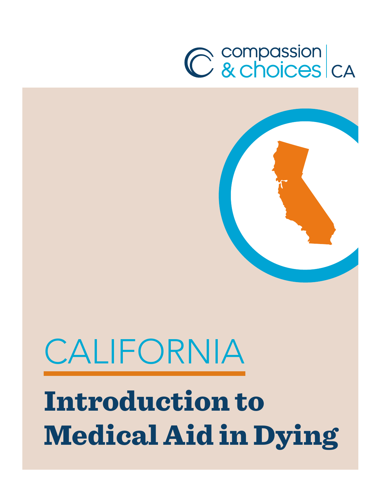# C compassion<br>C & choices CA



# CALIFORNIA Introduction to Medical Aid in Dying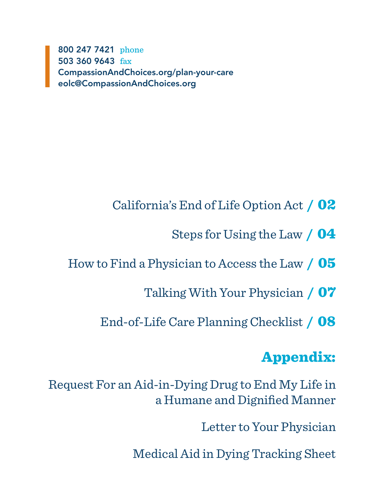800 247 7421 phone 503 360 9643 fax CompassionAndChoices.org/plan-your-care eolc@CompassionAndChoices.org

- California's End of Life Option Act / 02
	- Steps for Using the Law / 04
- How to Find a Physician to Access the Law / 05
	- Talking With Your Physician / 07
	- End-of-Life Care Planning Checklist / 08

# Appendix:

Request For an Aid-in-Dying Drug to End My Life in a Humane and Dignified Manner

Letter to Your Physician

Medical Aid in Dying Tracking Sheet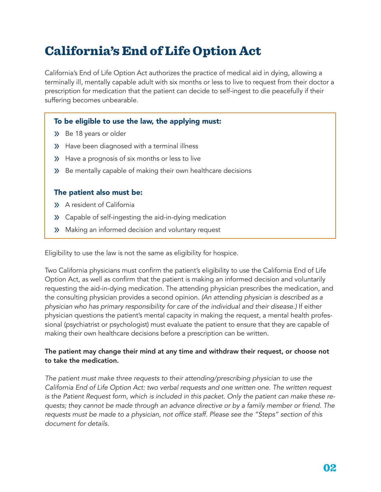# California's End of Life Option Act

California's End of Life Option Act authorizes the practice of medical aid in dying, allowing a terminally ill, mentally capable adult with six months or less to live to request from their doctor a prescription for medication that the patient can decide to self-ingest to die peacefully if their suffering becomes unbearable.

# To be eligible to use the law, the applying must:

- » Be 18 years or older
- » Have been diagnosed with a terminal illness
- » Have a prognosis of six months or less to live
- » Be mentally capable of making their own healthcare decisions

## The patient also must be:

- » A resident of California
- » Capable of self-ingesting the aid-in-dying medication
- » Making an informed decision and voluntary request

Eligibility to use the law is not the same as eligibility for hospice.

Two California physicians must confirm the patient's eligibility to use the California End of Life Option Act, as well as confirm that the patient is making an informed decision and voluntarily requesting the aid-in-dying medication. The attending physician prescribes the medication, and the consulting physician provides a second opinion. *(An attending physician is described as a physician who has primary responsibility for care of the individual and their disease.)* If either physician questions the patient's mental capacity in making the request, a mental health professional (psychiatrist or psychologist) must evaluate the patient to ensure that they are capable of making their own healthcare decisions before a prescription can be written.

## The patient may change their mind at any time and withdraw their request, or choose not to take the medication.

*The patient must make three requests to their attending/prescribing physician to use the California End of Life Option Act: two verbal requests and one written one. The written request is the Patient Request form, which is included in this packet. Only the patient can make these requests; they cannot be made through an advance directive or by a family member or friend. The* requests must be made to a physician, not office staff. Please see the "Steps" section of this *document for details.*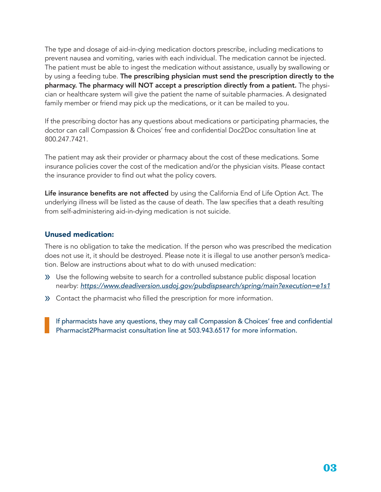The type and dosage of aid-in-dying medication doctors prescribe, including medications to prevent nausea and vomiting, varies with each individual. The medication cannot be injected. The patient must be able to ingest the medication without assistance, usually by swallowing or by using a feeding tube. The prescribing physician must send the prescription directly to the pharmacy. The pharmacy will NOT accept a prescription directly from a patient. The physician or healthcare system will give the patient the name of suitable pharmacies. A designated family member or friend may pick up the medications, or it can be mailed to you.

If the prescribing doctor has any questions about medications or participating pharmacies, the doctor can call Compassion & Choices' free and confidential Doc2Doc consultation line at 800.247.7421.

The patient may ask their provider or pharmacy about the cost of these medications. Some insurance policies cover the cost of the medication and/or the physician visits. Please contact the insurance provider to find out what the policy covers.

Life insurance benefits are not affected by using the California End of Life Option Act. The underlying illness will be listed as the cause of death. The law specifies that a death resulting from self-administering aid-in-dying medication is not suicide.

## Unused medication:

There is no obligation to take the medication. If the person who was prescribed the medication does not use it, it should be destroyed. Please note it is illegal to use another person's medication. Below are instructions about what to do with unused medication:

- » Use the following website to search for a controlled substance public disposal location nearby: *https://www.deadiversion.usdoj.gov/pubdispsearch/spring/main?execution=e1s1*
- » Contact the pharmacist who filled the prescription for more information.

If pharmacists have any questions, they may call Compassion & Choices' free and confidential Pharmacist2Pharmacist consultation line at 503.943.6517 for more information.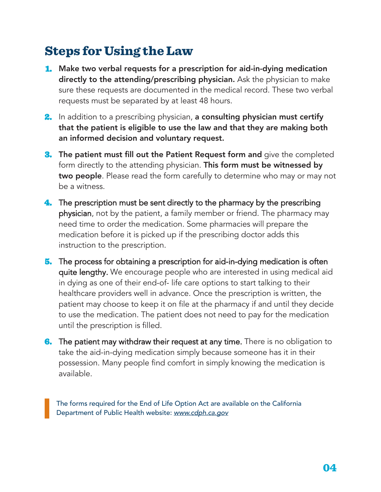# Steps for Using the Law

- 1. Make two verbal requests for a prescription for aid-in-dying medication directly to the attending/prescribing physician. Ask the physician to make sure these requests are documented in the medical record. These two verbal requests must be separated by at least 48 hours.
- 2. In addition to a prescribing physician, a consulting physician must certify that the patient is eligible to use the law and that they are making both an informed decision and voluntary request.
- **3.** The patient must fill out the Patient Request form and give the completed form directly to the attending physician. This form must be witnessed by two people. Please read the form carefully to determine who may or may not be a witness.
- 4. The prescription must be sent directly to the pharmacy by the prescribing physician, not by the patient, a family member or friend. The pharmacy may need time to order the medication. Some pharmacies will prepare the medication before it is picked up if the prescribing doctor adds this instruction to the prescription.
- **5.** The process for obtaining a prescription for aid-in-dying medication is often quite lengthy. We encourage people who are interested in using medical aid in dying as one of their end-of- life care options to start talking to their healthcare providers well in advance. Once the prescription is written, the patient may choose to keep it on file at the pharmacy if and until they decide to use the medication. The patient does not need to pay for the medication until the prescription is filled.
- **6.** The patient may withdraw their request at any time. There is no obligation to take the aid-in-dying medication simply because someone has it in their possession. Many people find comfort in simply knowing the medication is available.

The forms required for the End of Life Option Act are available on the California Department of Public Health website: *www.cdph.ca.gov*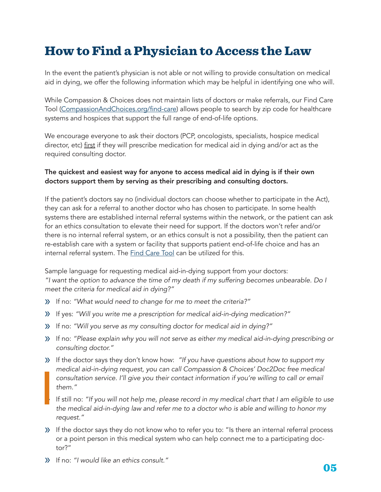# How to Find a Physician to Access the Law

In the event the patient's physician is not able or not willing to provide consultation on medical aid in dying, we offer the following information which may be helpful in identifying one who will.

While Compassion & Choices does not maintain lists of doctors or make referrals, our Find Care Tool (CompassionAndChoices.org/find-care) allows people to search by zip code for healthcare systems and hospices that support the full range of end-of-life options.

We encourage everyone to ask their doctors (PCP, oncologists, specialists, hospice medical director, etc) first if they will prescribe medication for medical aid in dying and/or act as the required consulting doctor.

## The quickest and easiest way for anyone to access medical aid in dying is if their own doctors support them by serving as their prescribing and consulting doctors.

If the patient's doctors say no (individual doctors can choose whether to participate in the Act), they can ask for a referral to another doctor who has chosen to participate. In some health systems there are established internal referral systems within the network, or the patient can ask for an ethics consultation to elevate their need for support. If the doctors won't refer and/or there is no internal referral system, or an ethics consult is not a possibility, then the patient can re-establish care with a system or facility that supports patient end-of-life choice and has an internal referral system. The Find Care Tool can be utilized for this.

Sample language for requesting medical aid-in-dying support from your doctors: "I want the option to advance the time of my death if my suffering becomes unbearable. Do I meet the criteria for medical aid in dying?"

- » If no: "What would need to change for me to meet the criteria?"
- » If yes: "Will you write me a prescription for medical aid-in-dying medication?"
- » If no: "Will you serve as my consulting doctor for medical aid in dying?"
- » If no: "Please explain why you will not serve as either my medical aid-in-dying prescribing or consulting doctor."
- » If the doctor says they don't know how: "If you have questions about how to support my medical aid-in-dying request, you can call Compassion & Choices' Doc2Doc free medical consultation service. I'll give you their contact information if you're willing to call or email them."
- If still no: "If you will not help me, please record in my medical chart that I am eligible to use *the medical aid-in-dying law and refer me to a doctor who is able and willing to honor my* request."
- » If the doctor says they do not know who to refer you to: "Is there an internal referral process or a point person in this medical system who can help connect me to a participating doctor?"
- » If no: "I would like an ethics consult."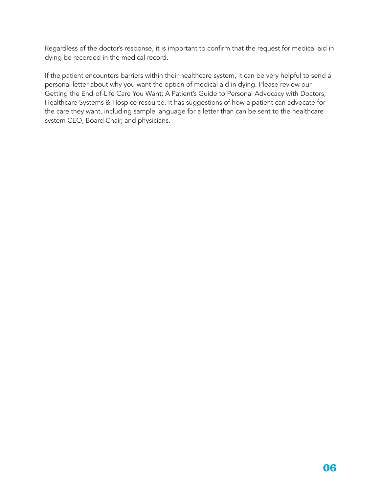Regardless of the doctor's response, it is important to confirm that the request for medical aid in dying be recorded in the medical record.

If the patient encounters barriers within their healthcare system, it can be very helpful to send a personal letter about why you want the option of medical aid in dying. Please review our Getting the End-of-Life Care You Want: A Patient's Guide to Personal Advocacy with Doctors, Healthcare Systems & Hospice resource. It has suggestions of how a patient can advocate for the care they want, including sample language for a letter than can be sent to the healthcare system CEO, Board Chair, and physicians.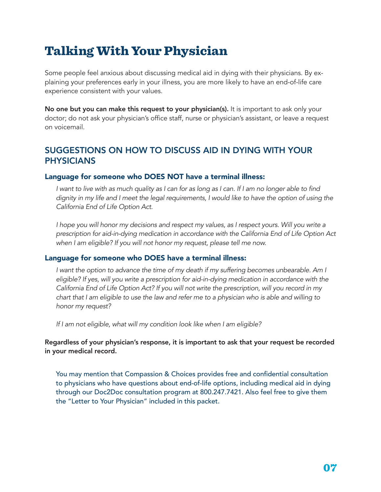# Talking With Your Physician

Some people feel anxious about discussing medical aid in dying with their physicians. By explaining your preferences early in your illness, you are more likely to have an end-of-life care experience consistent with your values.

No one but you can make this request to your physician(s). It is important to ask only your doctor; do not ask your physician's office staff, nurse or physician's assistant, or leave a request on voicemail.

# SUGGESTIONS ON HOW TO DISCUSS AID IN DYING WITH YOUR PHYSICIANS

## Language for someone who DOES NOT have a terminal illness:

I want to live with as much quality as I can for as long as I can. If I am no longer able to find dignity in my life and I meet the legal requirements, I would like to have the option of using the *California End of Life Option Act.* 

I hope you will honor my decisions and respect my values, as I respect yours. Will you write a *prescription for aid-in-dying medication in accordance with the California End of Life Option Act*  when I am eligible? If you will not honor my request, please tell me now.

## Language for someone who DOES have a terminal illness:

I want the option to advance the time of my death if my suffering becomes unbearable. Am I eligible? If yes, will you write a prescription for aid-in-dying medication in accordance with the California End of Life Option Act? If you will not write the prescription, will you record in my chart that I am eligible to use the law and refer me to a physician who is able and willing to *honor my request?* 

If I am not eligible, what will my condition look like when I am eligible?

Regardless of your physician's response, it is important to ask that your request be recorded in your medical record.

You may mention that Compassion & Choices provides free and confidential consultation to physicians who have questions about end-of-life options, including medical aid in dying through our Doc2Doc consultation program at 800.247.7421. Also feel free to give them the "Letter to Your Physician" included in this packet.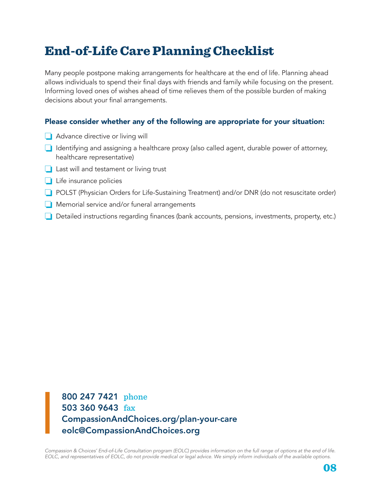# End-of-Life Care Planning Checklist

Many people postpone making arrangements for healthcare at the end of life. Planning ahead allows individuals to spend their final days with friends and family while focusing on the present. Informing loved ones of wishes ahead of time relieves them of the possible burden of making decisions about your final arrangements.

# Please consider whether any of the following are appropriate for your situation:

- ❏ Advance directive or living will
- ❏ Identifying and assigning a healthcare proxy (also called agent, durable power of attorney, healthcare representative)
- ❏ Last will and testament or living trust
- ❏ Life insurance policies
- ❏ POLST (Physician Orders for Life-Sustaining Treatment) and/or DNR (do not resuscitate order)
- ❏ Memorial service and/or funeral arrangements
- ❏ Detailed instructions regarding finances (bank accounts, pensions, investments, property, etc.)

800 247 7421 phone 503 360 9643 fax CompassionAndChoices.org/plan-your-care eolc@CompassionAndChoices.org

*Compassion & Choices' End-of-Life Consultation program (EOLC) provides information on the full range of options at the end of life.*  EOLC, and representatives of EOLC, do not provide medical or legal advice. We simply inform individuals of the available options.

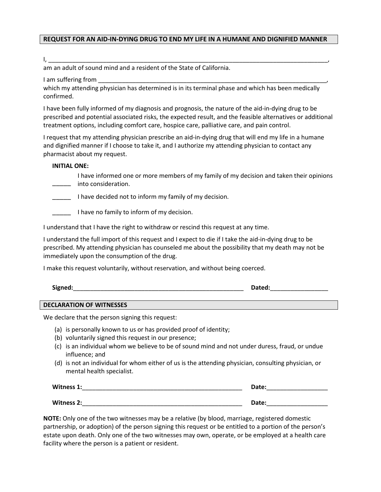### **REQUEST FOR AN AID-IN-DYING DRUG TO END MY LIFE IN A HUMANE AND DIGNIFIED MANNER**

#### I, \_\_\_\_\_\_\_\_\_\_\_\_\_\_\_\_\_\_\_\_\_\_\_\_\_\_\_\_\_\_\_\_\_\_\_\_\_\_\_\_\_\_\_\_\_\_\_\_\_\_\_\_\_\_\_\_\_\_\_\_\_\_\_\_\_\_\_\_\_\_\_\_\_\_\_\_\_\_\_\_\_\_,

am an adult of sound mind and a resident of the State of California.

I am suffering from

which my attending physician has determined is in its terminal phase and which has been medically confirmed.

I have been fully informed of my diagnosis and prognosis, the nature of the aid-in-dying drug to be prescribed and potential associated risks, the expected result, and the feasible alternatives or additional treatment options, including comfort care, hospice care, palliative care, and pain control.

I request that my attending physician prescribe an aid-in-dying drug that will end my life in a humane and dignified manner if I choose to take it, and I authorize my attending physician to contact any pharmacist about my request.

### **INITIAL ONE:**

- I have informed one or more members of my family of my decision and taken their opinions <sub>-</sub> into consideration.
- **I** have decided not to inform my family of my decision.
- I have no family to inform of my decision.

I understand that I have the right to withdraw or rescind this request at any time.

I understand the full import of this request and I expect to die if I take the aid-in-dying drug to be prescribed. My attending physician has counseled me about the possibility that my death may not be immediately upon the consumption of the drug.

I make this request voluntarily, without reservation, and without being coerced.

| Signed: | valeu. |
|---------|--------|
|         |        |

#### **DECLARATION OF WITNESSES**

We declare that the person signing this request:

- (a) is personally known to us or has provided proof of identity;
- (b) voluntarily signed this request in our presence;
- (c) is an individual whom we believe to be of sound mind and not under duress, fraud, or undue influence; and
- (d) is not an individual for whom either of us is the attending physician, consulting physician, or mental health specialist.

| Witness 1: | Date: |
|------------|-------|
| Witness 2: | Date: |

**NOTE:** Only one of the two witnesses may be a relative (by blood, marriage, registered domestic partnership, or adoption) of the person signing this request or be entitled to a portion of the person's estate upon death. Only one of the two witnesses may own, operate, or be employed at a health care facility where the person is a patient or resident.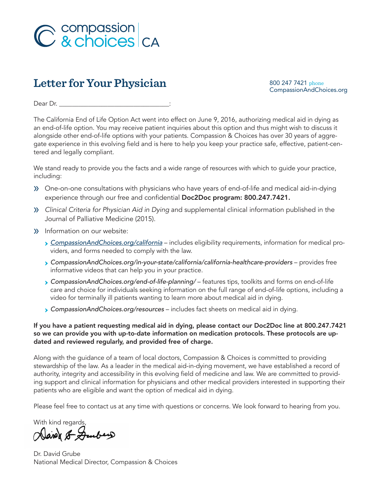

# Letter for Your Physician

800 247 7421 phone<br>CompassionAndChoices.org

Dear Dr. \_\_\_\_\_\_\_\_\_\_\_\_\_\_\_\_\_\_\_\_\_\_\_\_\_\_\_\_\_\_\_\_\_\_:

The California End of Life Option Act went into effect on June 9, 2016, authorizing medical aid in dying as an end-of-life option. You may receive patient inquiries about this option and thus might wish to discuss it alongside other end-of-life options with your patients. Compassion & Choices has over 30 years of aggregate experience in this evolving field and is here to help you keep your practice safe, effective, patient-centered and legally compliant.

We stand ready to provide you the facts and a wide range of resources with which to guide your practice, including:

- » One-on-one consultations with physicians who have years of end-of-life and medical aid-in-dying experience through our free and confidential Doc2Doc program: 800.247.7421.
- » Clinical Criteria for Physician Aid in Dying and supplemental clinical information published in the Journal of Palliative Medicine (2015).
- » Information on our website:
	- › *CompassionAndChoices.org/california* includes eligibility requirements, information for medical providers, and forms needed to comply with the law.
	- **> CompassionAndChoices.org/in-your-state/california/california-healthcare-providers** provides free informative videos that can help you in your practice.
	- › *CompassionAndChoices.org/end-of-life-planning/*  features tips, toolkits and forms on end-of-life care and choice for individuals seeking information on the full range of end-of-life options, including a video for terminally ill patients wanting to learn more about medical aid in dying.
	- › *CompassionAndChoices.org/resources*  includes fact sheets on medical aid in dying.

If you have a patient requesting medical aid in dying, please contact our Doc2Doc line at 800.247.7421 so we can provide you with up-to-date information on medication protocols. These protocols are updated and reviewed regularly, and provided free of charge.

Along with the guidance of a team of local doctors, Compassion & Choices is committed to providing stewardship of the law. As a leader in the medical aid-in-dying movement, we have established a record of authority, integrity and accessibility in this evolving field of medicine and law. We are committed to providing support and clinical information for physicians and other medical providers interested in supporting their patients who are eligible and want the option of medical aid in dying.

Please feel free to contact us at any time with questions or concerns. We look forward to hearing from you.

With kind regards

Dance & Duber

Dr. David Grube National Medical Director, Compassion & Choices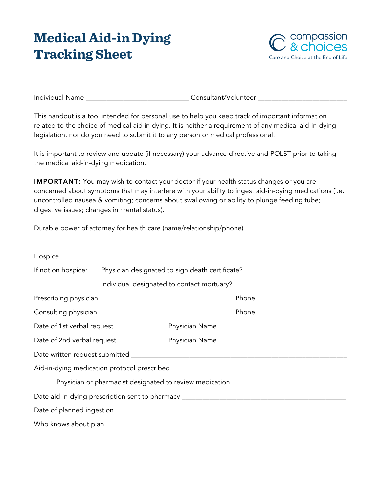# **Medical Aid-in Dying Tracking Sheet**



Individual Name \_\_\_\_\_\_\_\_\_\_\_\_\_\_\_\_\_\_\_\_\_\_\_\_\_\_\_\_\_\_ Consultant/Volunteer \_\_\_\_\_\_\_\_\_\_\_\_\_\_\_\_\_\_\_\_\_\_\_\_\_\_

This handout is a tool intended for personal use to help you keep track of important information related to the choice of medical aid in dying. It is neither a requirement of any medical aid-in-dying legislation, nor do you need to submit it to any person or medical professional.

It is important to review and update (if necessary) your advance directive and POLST prior to taking the medical aid-in-dying medication.

**IMPORTANT:** You may wish to contact your doctor if your health status changes or you are concerned about symptoms that may interfere with your ability to ingest aid-in-dying medications (i.e. uncontrolled nausea & vomiting; concerns about swallowing or ability to plunge feeding tube; digestive issues; changes in mental status).

Durable power of attorney for health care (name/relationship/phone) \_\_\_\_\_\_\_\_\_\_\_\_

| If not on hospice: | Physician designated to sign death certificate? ________________________________ |                                                                                   |                                      |
|--------------------|----------------------------------------------------------------------------------|-----------------------------------------------------------------------------------|--------------------------------------|
|                    |                                                                                  |                                                                                   |                                      |
|                    |                                                                                  |                                                                                   | Phone ______________________________ |
|                    |                                                                                  |                                                                                   |                                      |
|                    |                                                                                  |                                                                                   |                                      |
|                    |                                                                                  |                                                                                   |                                      |
|                    |                                                                                  |                                                                                   |                                      |
|                    |                                                                                  |                                                                                   |                                      |
|                    |                                                                                  | Physician or pharmacist designated to review medication _________________________ |                                      |
|                    |                                                                                  |                                                                                   |                                      |
|                    |                                                                                  |                                                                                   |                                      |
|                    |                                                                                  |                                                                                   |                                      |